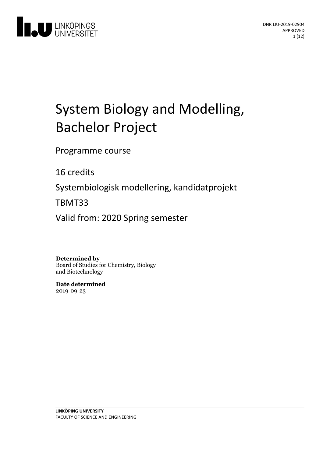

# System Biologyand Modelling, Bachelor Project

Programme course

16 credits

Systembiologisk modellering, kandidatprojekt

TBMT33

Valid from: 2020 Spring semester

**Determined by**

Board of Studies for Chemistry, Biology and Biotechnology

**Date determined** 2019-09-23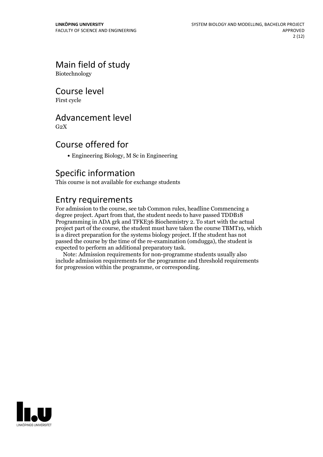# Main field of study

Biotechnology

### Course level

First cycle

# Advancement level

 $G<sub>2</sub>X$ 

# Course offered for

• Engineering Biology, M Sc in Engineering

# Specific information

This course is not available for exchange students

# Entry requirements

For admission to the course, see tab Common rules, headline Commencing a degree project. Apart from that, the student needs to have passed TDDB18 Programming in ADA grk and TFKE36 Biochemistry 2. To start with the actual project part of the course, the student must have taken the course TBMT19, which is a direct preparation for the systems biology project. If the student has not passed the course by the time of the re-examination (omdugga), the student is expected to perform an additional preparatory task.

Note: Admission requirements for non-programme students usually also include admission requirements for the programme and threshold requirements for progression within the programme, or corresponding.

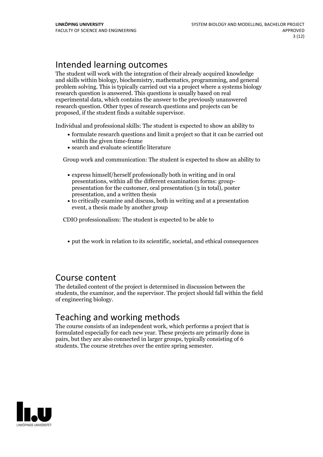# Intended learning outcomes

The student will work with the integration of their already acquired knowledge and skills within biology, biochemistry, mathematics, programming, and general problem solving. This is typically carried out via a project where a systems biology research question is answered. This questions is usually based on real experimental data, which contains the answer to the previously unanswered research question. Other types of research questions and projects can be proposed, if the student finds a suitable supervisor.

Individual and professional skills: The student is expected to show an ability to

- formulate research questions and limit a project so that it can be carried out within the given time-frame
- search and evaluate scientific literature

Group work and communication: The student is expected to show an ability to

- express himself/herself professionally both in writing and in oral presentation for the customer, oral presentation (3 in total), poster presentation, and a written thesis
- to critically examine and discuss, both in writing and at a presentation event, a thesis made by another group

CDIO professionalism: The student is expected to be able to

put the work in relation to its scientific, societal, and ethical consequences

### Course content

The detailed content of the project is determined in discussion between the students, the examinor, and the supervisor. The project should fall within the field of engineering biology.

# Teaching and working methods

The course consists of an independent work, which performs a project that is formulated especially for each new year. These projects are primarily done in pairs, but they are also connected in larger groups, typically consisting of 6 students. The course stretches over the entire spring semester.

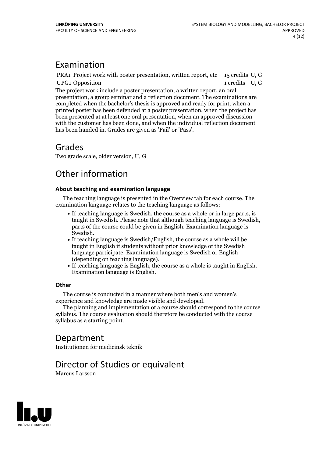# Examination

PRA1 Project work with poster presentation, written report, etc 15 credits U, G UPG1 Opposition 1 credits U, G The project work include a poster presentation, a written report, an oral presentation, a group seminar and a reflection document. The examinations are completed when the bachelor's thesis is approved and ready for print, when a printed poster has been defended at a poster presentation, when the project has been presented at at least one oral presentation, when an approved discussion with the customer has been done, and when the individual reflection document has been handed in. Grades are given as 'Fail' or 'Pass'.

# Grades

Two grade scale, older version, U, G

# Other information

### **About teaching and examination language**

The teaching language is presented in the Overview tab for each course. The examination language relates to the teaching language as follows:

- If teaching language is Swedish, the course as a whole or in large parts, is taught in Swedish. Please note that although teaching language is Swedish, parts of the course could be given in English. Examination language is
- Swedish.<br>• If teaching language is Swedish/English, the course as a whole will be taught in English if students without prior knowledge of the Swedish language participate. Examination language is Swedish or English
- $\bullet$  If teaching language is English, the course as a whole is taught in English. Examination language is English.

### **Other**

The course is conducted in a manner where both men's and women's

The planning and implementation of a course should correspond to the course syllabus. The course evaluation should therefore be conducted with the course syllabus as a starting point.

# Department

Institutionen för medicinsk teknik

# Director of Studies or equivalent

Marcus Larsson

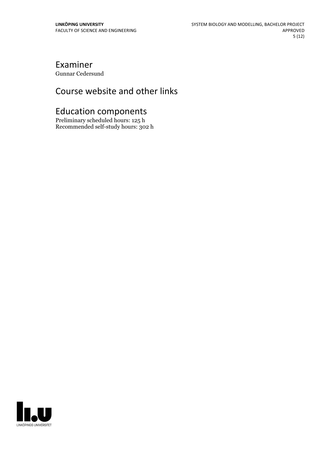# Examiner

Gunnar Cedersund

# Course website and other links

# Education components

Preliminary scheduled hours: 125 h Recommended self-study hours: 302 h

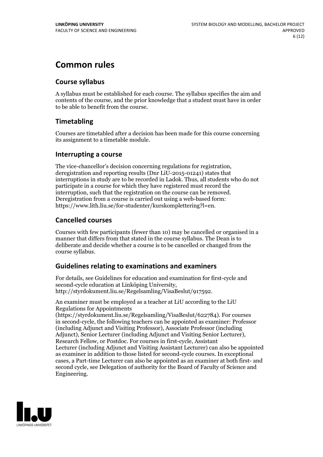# **Common rules**

### **Course syllabus**

A syllabus must be established for each course. The syllabus specifies the aim and contents of the course, and the prior knowledge that a student must have in order to be able to benefit from the course.

### **Timetabling**

Courses are timetabled after a decision has been made for this course concerning its assignment to a timetable module.

### **Interrupting a course**

The vice-chancellor's decision concerning regulations for registration, deregistration and reporting results (Dnr LiU-2015-01241) states that interruptions in study are to be recorded in Ladok. Thus, all students who do not participate in a course for which they have registered must record the interruption, such that the registration on the course can be removed. Deregistration from <sup>a</sup> course is carried outusing <sup>a</sup> web-based form: https://www.lith.liu.se/for-studenter/kurskomplettering?l=en.

### **Cancelled courses**

Courses with few participants (fewer than 10) may be cancelled or organised in a manner that differs from that stated in the course syllabus. The Dean is to deliberate and decide whether a course is to be cancelled or changed from the course syllabus.

### **Guidelines relatingto examinations and examiners**

For details, see Guidelines for education and examination for first-cycle and second-cycle education at Linköping University, http://styrdokument.liu.se/Regelsamling/VisaBeslut/917592.

An examiner must be employed as a teacher at LiU according to the LiU Regulations for Appointments

(https://styrdokument.liu.se/Regelsamling/VisaBeslut/622784). For courses in second-cycle, the following teachers can be appointed as examiner: Professor (including Adjunct and Visiting Professor), Associate Professor (including Adjunct), Senior Lecturer (including Adjunct and Visiting Senior Lecturer), Research Fellow, or Postdoc. For courses in first-cycle, Assistant Lecturer (including Adjunct and Visiting Assistant Lecturer) can also be appointed as examiner in addition to those listed for second-cycle courses. In exceptional cases, a Part-time Lecturer can also be appointed as an examiner at both first- and second cycle, see Delegation of authority for the Board of Faculty of Science and Engineering.

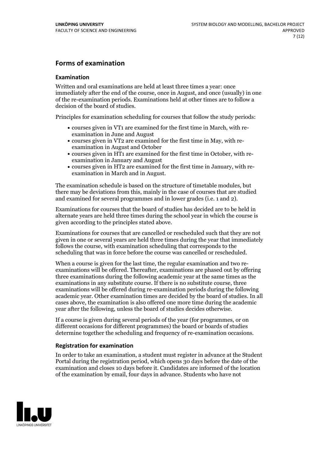### **Forms of examination**

#### **Examination**

Written and oral examinations are held at least three times a year: once immediately after the end of the course, once in August, and once (usually) in one of the re-examination periods. Examinations held at other times are to follow a decision of the board of studies.

Principles for examination scheduling for courses that follow the study periods:

- courses given in VT1 are examined for the first time in March, with re-examination in June and August
- courses given in VT2 are examined for the first time in May, with re-examination in August and October
- courses given in HT1 are examined for the first time in October, with re-examination in January and August
- courses given in HT2 are examined for the first time in January, with re-examination in March and in August.

The examination schedule is based on the structure of timetable modules, but there may be deviations from this, mainly in the case of courses that are studied and examined for several programmes and in lower grades (i.e. 1 and 2).

Examinations for courses that the board of studies has decided are to be held in alternate years are held three times during the school year in which the course is given according to the principles stated above.

Examinations for courses that are cancelled orrescheduled such that they are not given in one or several years are held three times during the year that immediately follows the course, with examination scheduling that corresponds to the scheduling that was in force before the course was cancelled or rescheduled.

When a course is given for the last time, the regular examination and two re-<br>examinations will be offered. Thereafter, examinations are phased out by offering three examinations during the following academic year at the same times as the examinations in any substitute course. If there is no substitute course, three examinations will be offered during re-examination periods during the following academic year. Other examination times are decided by the board of studies. In all cases above, the examination is also offered one more time during the academic year after the following, unless the board of studies decides otherwise.

If a course is given during several periods of the year (for programmes, or on different occasions for different programmes) the board or boards of studies determine together the scheduling and frequency of re-examination occasions.

### **Registration for examination**

In order to take an examination, a student must register in advance at the Student Portal during the registration period, which opens 30 days before the date of the examination and closes 10 days before it. Candidates are informed of the location of the examination by email, four days in advance. Students who have not

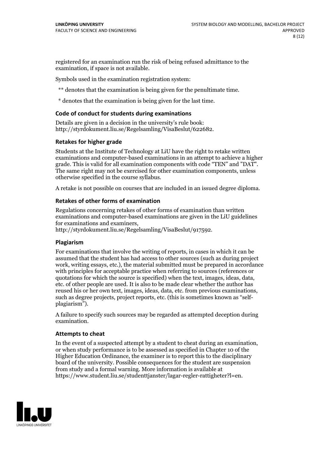registered for an examination run the risk of being refused admittance to the examination, if space is not available.

Symbols used in the examination registration system:

\*\* denotes that the examination is being given for the penultimate time.

\* denotes that the examination is being given for the last time.

#### **Code of conduct for students during examinations**

Details are given in a decision in the university's rule book: http://styrdokument.liu.se/Regelsamling/VisaBeslut/622682.

### **Retakes for higher grade**

Students at the Institute of Technology at LiU have the right to retake written examinations and computer-based examinations in an attempt to achieve a higher grade. This is valid for all examination components with code "TEN" and "DAT". The same right may not be exercised for other examination components, unless otherwise specified in the course syllabus.

A retake is not possible on courses that are included in an issued degree diploma.

#### **Retakes of other forms of examination**

Regulations concerning retakes of other forms of examination than written examinations and computer-based examinations are given in the LiU guidelines

http://styrdokument.liu.se/Regelsamling/VisaBeslut/917592.

#### **Plagiarism**

For examinations that involve the writing of reports, in cases in which it can be assumed that the student has had access to other sources (such as during project work, writing essays, etc.), the material submitted must be prepared in accordance with principles for acceptable practice when referring to sources (references or quotations for which the source is specified) when the text, images, ideas, data,  $\vec{e}$  etc. of other people are used. It is also to be made clear whether the author has reused his or her own text, images, ideas, data, etc. from previous examinations, such as degree projects, project reports, etc. (this is sometimes known as "self- plagiarism").

A failure to specify such sources may be regarded as attempted deception during examination.

#### **Attempts to cheat**

In the event of <sup>a</sup> suspected attempt by <sup>a</sup> student to cheat during an examination, or when study performance is to be assessed as specified in Chapter <sup>10</sup> of the Higher Education Ordinance, the examiner is to report this to the disciplinary board of the university. Possible consequences for the student are suspension from study and a formal warning. More information is available at https://www.student.liu.se/studenttjanster/lagar-regler-rattigheter?l=en.

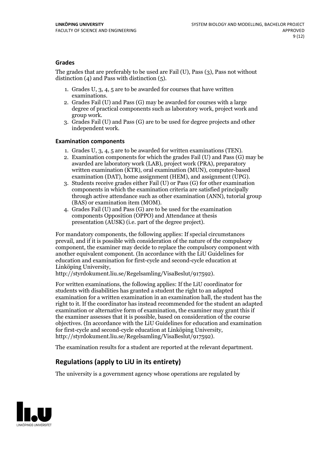### **Grades**

The grades that are preferably to be used are Fail (U), Pass (3), Pass not without distinction  $(4)$  and Pass with distinction  $(5)$ .

- 1. Grades U, 3, 4, 5 are to be awarded for courses that have written
- examinations. 2. Grades Fail (U) and Pass (G) may be awarded for courses with <sup>a</sup> large degree of practical components such as laboratory work, project work and group work. 3. Grades Fail (U) and Pass (G) are to be used for degree projects and other
- independent work.

### **Examination components**

- 
- 1. Grades U, 3, 4, <sup>5</sup> are to be awarded for written examinations (TEN). 2. Examination components for which the grades Fail (U) and Pass (G) may be awarded are laboratory work (LAB), project work (PRA), preparatory written examination (KTR), oral examination (MUN), computer-based
- examination (DAT), home assignment (HEM), and assignment (UPG). 3. Students receive grades either Fail (U) or Pass (G) for other examination components in which the examination criteria are satisfied principally through active attendance such as other examination (ANN), tutorial group (BAS) or examination item (MOM). 4. Grades Fail (U) and Pass (G) are to be used for the examination
- components Opposition (OPPO) and Attendance at thesis presentation (AUSK) (i.e. part of the degree project).

For mandatory components, the following applies: If special circumstances prevail, and if it is possible with consideration of the nature of the compulsory component, the examiner may decide to replace the compulsory component with another equivalent component. (In accordance with the LiU Guidelines for education and examination for first-cycle and second-cycle education at Linköping University, http://styrdokument.liu.se/Regelsamling/VisaBeslut/917592).

For written examinations, the following applies: If the LiU coordinator for students with disabilities has granted a student the right to an adapted examination for a written examination in an examination hall, the student has the right to it. If the coordinator has instead recommended for the student an adapted examination or alternative form of examination, the examiner may grant this if the examiner assesses that it is possible, based on consideration of the course objectives. (In accordance with the LiU Guidelines for education and examination for first-cycle and second-cycle education at Linköping University, http://styrdokument.liu.se/Regelsamling/VisaBeslut/917592).

The examination results for a student are reported at the relevant department.

### **Regulations (applyto LiU in its entirety)**

The university is a government agency whose operations are regulated by

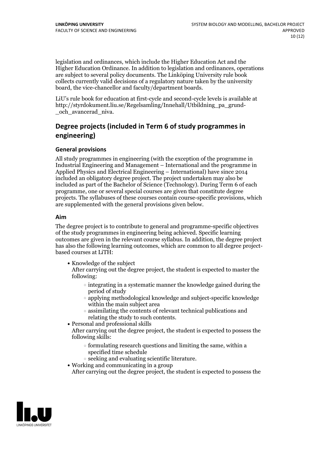legislation and ordinances, which include the Higher Education Act and the Higher Education Ordinance. In addition to legislation and ordinances, operations are subject to several policy documents. The Linköping University rule book collects currently valid decisions of a regulatory nature taken by the university board, the vice-chancellor and faculty/department boards.

LiU's rule book for education at first-cycle and second-cycle levels is available at http://styrdokument.liu.se/Regelsamling/Innehall/Utbildning\_pa\_grund- \_och\_avancerad\_niva.

### **Degree projects (included in Term 6 of study programmes in engineering)**

### **General provisions**

All study programmes in engineering (with the exception of the programme in Industrial Engineering and Management – International and the programme in Applied Physics and Electrical Engineering – International) have since 2014 included an obligatory degree project. The project undertaken may also be included as part of the Bachelor of Science (Technology). During Term 6 of each programme, one or several special courses are given that constitute degree projects. The syllabuses of these courses contain course-specific provisions, which are supplemented with the general provisions given below.

### **Aim**

The degree project is to contribute to general and programme-specific objectives of the study programmes in engineering being achieved. Specific learning outcomes are given in the relevant course syllabus. In addition, the degree project has also the following learning outcomes, which are common to all degree project- based courses at LiTH:

• Knowledge of the subject

After carrying out the degree project, the student is expected to master the following:

- $\circ$  integrating in a systematic manner the knowledge gained during the period of study
- applying methodological knowledge and subject-specific knowledge within the main subject area
- $\circ$  assimilating the contents of relevant technical publications and relating the study to such contents.<br>• Personal and professional skills
- 

After carrying out the degree project, the student is expected to possess the following skills:

- $\circ$  formulating research questions and limiting the same, within a specified time schedule
- $\circ$  seeking and evaluating scientific literature. <br> Working and communicating in a group
- 

After carrying out the degree project, the student is expected to possess the

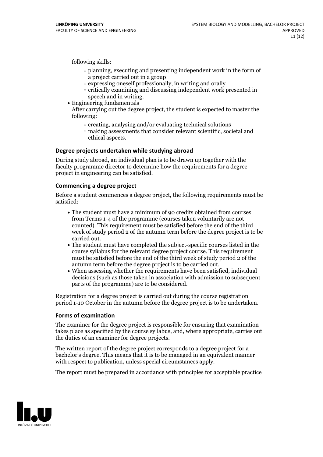following skills:

- $\circ$  planning, executing and presenting independent work in the form of a project carried out in a group
- $\circ$  expressing oneself professionally, in writing and orally
- $\circ$  critically examining and discussing independent work presented in
- speech and in writing.<br>• Engineering fundamentals

After carrying out the degree project, the student is expected to master the following:

- $\circ$  creating, analysing and/or evaluating technical solutions
- making assessments that consider relevant scientific, societal and ethical aspects.

### **Degree projects undertaken while studying abroad**

During study abroad, an individual plan is to be drawn up together with the faculty programme director to determine how the requirements for a degree project in engineering can be satisfied.

### **Commencing a degree project**

Before a student commences a degree project, the following requirements must be satisfied:

- The student must have a minimum of 90 credits obtained from courses from Terms 1-4 of the programme (courses taken voluntarily are not counted). This requirement must be satisfied before the end of the third week of study period 2 of the autumn term before the degree project is to be
- The student must have completed the subject-specific courses listed in the course syllabus for the relevant degree project course. This requirement must be satisfied before the end of the third week of study period 2 of the autumn term before the degree project is to be carried out.<br>• When assessing whether the requirements have been satisfied, individual
- decisions (such as those taken in association with admission to subsequent parts of the programme) are to be considered.

Registration for a degree project is carried out during the course registration period 1-10 October in the autumn before the degree project is to be undertaken.

### **Forms of examination**

The examiner for the degree project is responsible for ensuring that examination takes place as specified by the course syllabus, and, where appropriate, carries out the duties of an examiner for degree projects.

The written report of the degree project corresponds to a degree project for a bachelor's degree. This means that it is to be managed in an equivalent manner with respect to publication, unless special circumstances apply.

The report must be prepared in accordance with principles for acceptable practice